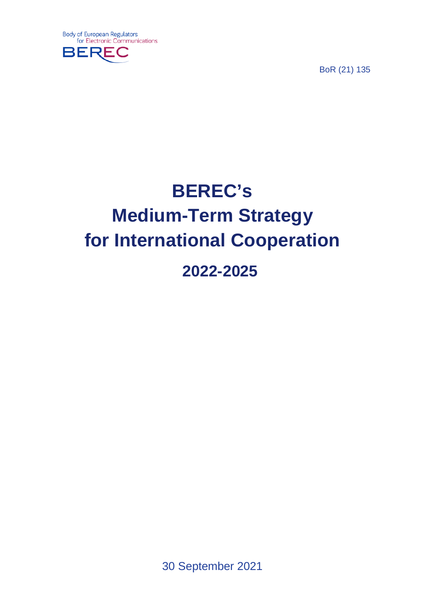

BoR (21) 135

# **BEREC's Medium-Term Strategy for International Cooperation 2022-2025**

30 September 2021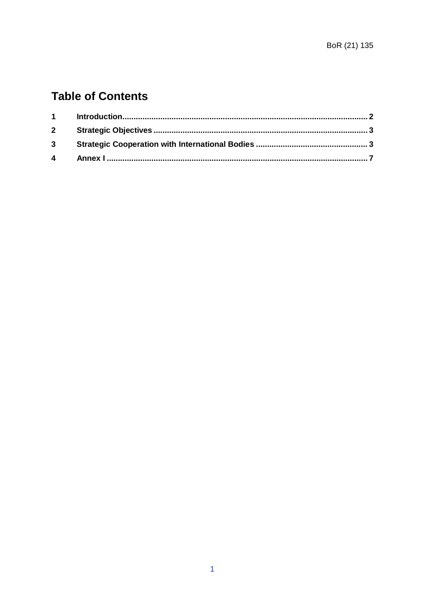# **Table of Contents**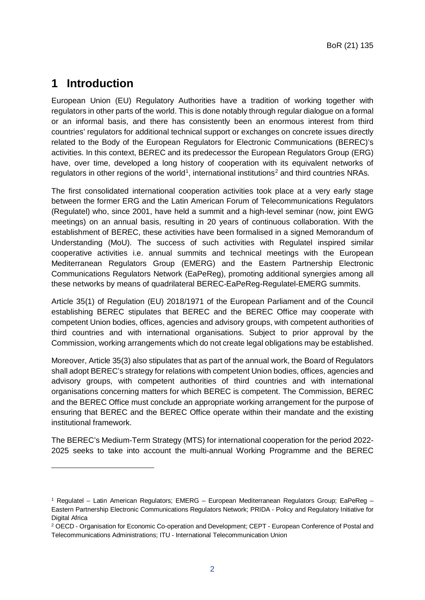#### <span id="page-2-0"></span>**1 Introduction**

-

European Union (EU) Regulatory Authorities have a tradition of working together with regulators in other parts of the world. This is done notably through regular dialogue on a formal or an informal basis, and there has consistently been an enormous interest from third countries' regulators for additional technical support or exchanges on concrete issues directly related to the Body of the European Regulators for Electronic Communications (BEREC)'s activities. In this context, BEREC and its predecessor the European Regulators Group (ERG) have, over time, developed a long history of cooperation with its equivalent networks of regulators in other regions of the world<sup>[1](#page-2-1)</sup>, international institutions<sup>[2](#page-2-2)</sup> and third countries NRAs.

The first consolidated international cooperation activities took place at a very early stage between the former ERG and the Latin American Forum of Telecommunications Regulators (Regulatel) who, since 2001, have held a summit and a high-level seminar (now, joint EWG meetings) on an annual basis, resulting in 20 years of continuous collaboration. With the establishment of BEREC, these activities have been formalised in a signed Memorandum of Understanding (MoU). The success of such activities with Regulatel inspired similar cooperative activities i.e. annual summits and technical meetings with the European Mediterranean Regulators Group (EMERG) and the Eastern Partnership Electronic Communications Regulators Network (EaPeReg), promoting additional synergies among all these networks by means of quadrilateral BEREC-EaPeReg-Regulatel-EMERG summits.

Article 35(1) of Regulation (EU) 2018/1971 of the European Parliament and of the Council establishing BEREC stipulates that BEREC and the BEREC Office may cooperate with competent Union bodies, offices, agencies and advisory groups, with competent authorities of third countries and with international organisations. Subject to prior approval by the Commission, working arrangements which do not create legal obligations may be established.

Moreover, Article 35(3) also stipulates that as part of the annual work, the Board of Regulators shall adopt BEREC's strategy for relations with competent Union bodies, offices, agencies and advisory groups, with competent authorities of third countries and with international organisations concerning matters for which BEREC is competent. The Commission, BEREC and the BEREC Office must conclude an appropriate working arrangement for the purpose of ensuring that BEREC and the BEREC Office operate within their mandate and the existing institutional framework.

The BEREC's Medium-Term Strategy (MTS) for international cooperation for the period 2022- 2025 seeks to take into account the multi-annual Working Programme and the BEREC

<span id="page-2-1"></span><sup>1</sup> Regulatel – Latin American Regulators; EMERG – European Mediterranean Regulators Group; EaPeReg – Eastern Partnership Electronic Communications Regulators Network; PRIDA - Policy and Regulatory Initiative for Digital Africa

<span id="page-2-2"></span><sup>2</sup> OECD - Organisation for Economic Co-operation and Development; CEPT - European Conference of Postal and Telecommunications Administrations; ITU - International Telecommunication Union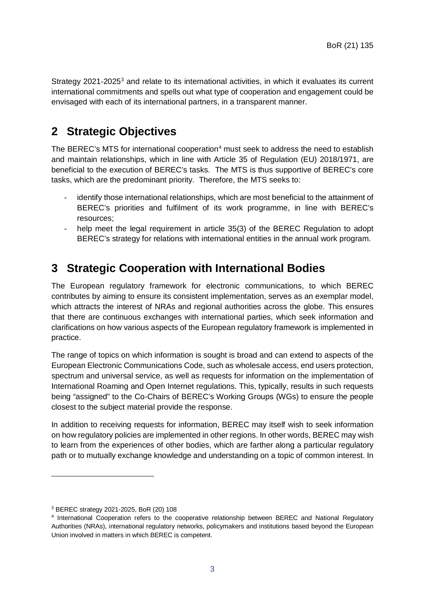Strategy 2021-2025<sup>[3](#page-3-2)</sup> and relate to its international activities, in which it evaluates its current international commitments and spells out what type of cooperation and engagement could be envisaged with each of its international partners, in a transparent manner.

### <span id="page-3-0"></span>**2 Strategic Objectives**

The BEREC's MTS for international cooperation<sup>4</sup> must seek to address the need to establish and maintain relationships, which in line with Article 35 of Regulation (EU) 2018/1971, are beneficial to the execution of BEREC's tasks. The MTS is thus supportive of BEREC's core tasks, which are the predominant priority. Therefore, the MTS seeks to:

- identify those international relationships, which are most beneficial to the attainment of BEREC's priorities and fulfilment of its work programme, in line with BEREC's resources;
- help meet the legal requirement in article 35(3) of the BEREC Regulation to adopt BEREC's strategy for relations with international entities in the annual work program.

#### <span id="page-3-1"></span>**3 Strategic Cooperation with International Bodies**

The European regulatory framework for electronic communications, to which BEREC contributes by aiming to ensure its consistent implementation, serves as an exemplar model, which attracts the interest of NRAs and regional authorities across the globe. This ensures that there are continuous exchanges with international parties, which seek information and clarifications on how various aspects of the European regulatory framework is implemented in practice.

The range of topics on which information is sought is broad and can extend to aspects of the European Electronic Communications Code, such as wholesale access, end users protection, spectrum and universal service, as well as requests for information on the implementation of International Roaming and Open Internet regulations. This, typically, results in such requests being "assigned" to the Co-Chairs of BEREC's Working Groups (WGs) to ensure the people closest to the subject material provide the response.

In addition to receiving requests for information, BEREC may itself wish to seek information on how regulatory policies are implemented in other regions. In other words, BEREC may wish to learn from the experiences of other bodies, which are farther along a particular regulatory path or to mutually exchange knowledge and understanding on a topic of common interest. In

-

<span id="page-3-2"></span><sup>3</sup> BEREC strategy 2021-2025, BoR (20) 108

<span id="page-3-3"></span><sup>4</sup> International Cooperation refers to the cooperative relationship between BEREC and National Regulatory Authorities (NRAs), international regulatory networks, policymakers and institutions based beyond the European Union involved in matters in which BEREC is competent.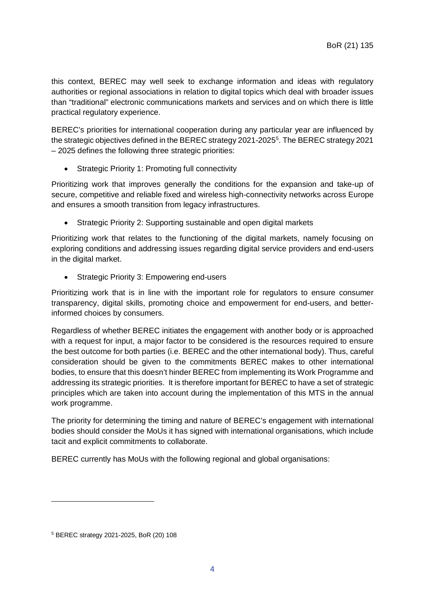this context, BEREC may well seek to exchange information and ideas with regulatory authorities or regional associations in relation to digital topics which deal with broader issues than "traditional" electronic communications markets and services and on which there is little practical regulatory experience.

BEREC's priorities for international cooperation during any particular year are influenced by the strategic objectives defined in the BEREC strategy 2021-202[5](#page-4-0)<sup>5</sup>. The BEREC strategy 2021 – 2025 defines the following three strategic priorities:

• Strategic Priority 1: Promoting full connectivity

Prioritizing work that improves generally the conditions for the expansion and take-up of secure, competitive and reliable fixed and wireless high-connectivity networks across Europe and ensures a smooth transition from legacy infrastructures.

• Strategic Priority 2: Supporting sustainable and open digital markets

Prioritizing work that relates to the functioning of the digital markets, namely focusing on exploring conditions and addressing issues regarding digital service providers and end-users in the digital market.

• Strategic Priority 3: Empowering end-users

Prioritizing work that is in line with the important role for regulators to ensure consumer transparency, digital skills, promoting choice and empowerment for end-users, and betterinformed choices by consumers.

Regardless of whether BEREC initiates the engagement with another body or is approached with a request for input, a major factor to be considered is the resources required to ensure the best outcome for both parties (i.e. BEREC and the other international body). Thus, careful consideration should be given to the commitments BEREC makes to other international bodies, to ensure that this doesn't hinder BEREC from implementing its Work Programme and addressing its strategic priorities. It is therefore important for BEREC to have a set of strategic principles which are taken into account during the implementation of this MTS in the annual work programme.

The priority for determining the timing and nature of BEREC's engagement with international bodies should consider the MoUs it has signed with international organisations, which include tacit and explicit commitments to collaborate.

BEREC currently has MoUs with the following regional and global organisations:

-

<span id="page-4-0"></span><sup>5</sup> BEREC strategy 2021-2025, BoR (20) 108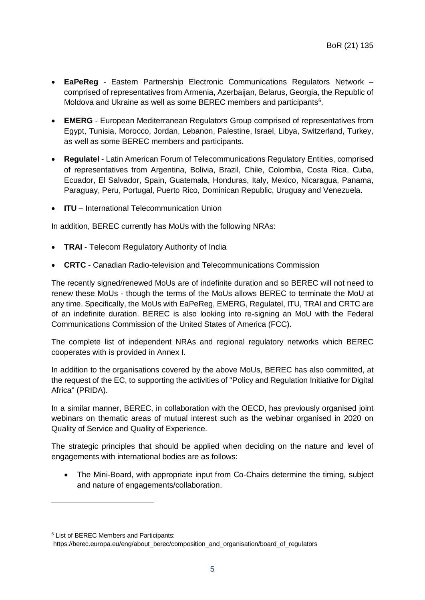- **EaPeReg** Eastern Partnership Electronic Communications Regulators Network comprised of representatives from Armenia, Azerbaijan, Belarus, Georgia, the Republic of Moldova and Ukraine as well as some BEREC members and participants<sup>[6](#page-5-0)</sup>.
- **EMERG** European Mediterranean Regulators Group comprised of representatives from Egypt, Tunisia, Morocco, Jordan, Lebanon, Palestine, Israel, Libya, Switzerland, Turkey, as well as some BEREC members and participants.
- **Regulatel** Latin American Forum of Telecommunications Regulatory Entities, comprised of representatives from Argentina, Bolivia, Brazil, Chile, Colombia, Costa Rica, Cuba, Ecuador, El Salvador, Spain, Guatemala, Honduras, Italy, Mexico, Nicaragua, Panama, Paraguay, Peru, Portugal, Puerto Rico, Dominican Republic, Uruguay and Venezuela.
- **ITU** International Telecommunication Union

In addition, BEREC currently has MoUs with the following NRAs:

- **TRAI** Telecom Regulatory Authority of India
- **CRTC** Canadian Radio-television and Telecommunications Commission

The recently signed/renewed MoUs are of indefinite duration and so BEREC will not need to renew these MoUs - though the terms of the MoUs allows BEREC to terminate the MoU at any time. Specifically, the MoUs with EaPeReg, EMERG, Regulatel, ITU, TRAI and CRTC are of an indefinite duration. BEREC is also looking into re-signing an MoU with the Federal Communications Commission of the United States of America (FCC).

The complete list of independent NRAs and regional regulatory networks which BEREC cooperates with is provided in Annex I.

In addition to the organisations covered by the above MoUs, BEREC has also committed, at the request of the EC, to supporting the activities of "Policy and Regulation Initiative for Digital Africa" (PRIDA).

In a similar manner, BEREC, in collaboration with the OECD, has previously organised joint webinars on thematic areas of mutual interest such as the webinar organised in 2020 on Quality of Service and Quality of Experience.

The strategic principles that should be applied when deciding on the nature and level of engagements with international bodies are as follows:

• The Mini-Board, with appropriate input from Co-Chairs determine the timing, subject and nature of engagements/collaboration.

-

<span id="page-5-0"></span><sup>6</sup> List of BEREC Members and Participants:

https://berec.europa.eu/eng/about\_berec/composition\_and\_organisation/board\_of\_regulators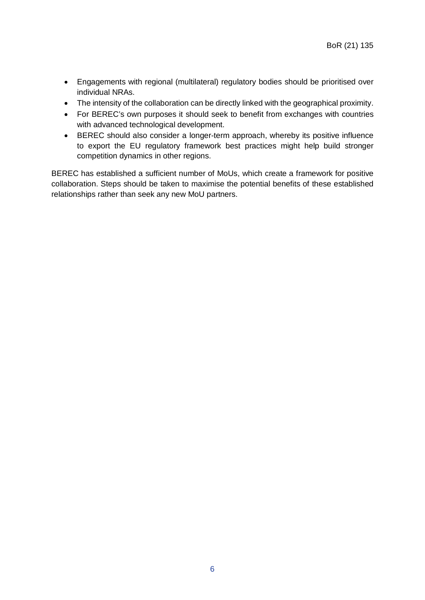- Engagements with regional (multilateral) regulatory bodies should be prioritised over individual NRAs.
- The intensity of the collaboration can be directly linked with the geographical proximity.
- For BEREC's own purposes it should seek to benefit from exchanges with countries with advanced technological development.
- BEREC should also consider a longer-term approach, whereby its positive influence to export the EU regulatory framework best practices might help build stronger competition dynamics in other regions.

BEREC has established a sufficient number of MoUs, which create a framework for positive collaboration. Steps should be taken to maximise the potential benefits of these established relationships rather than seek any new MoU partners.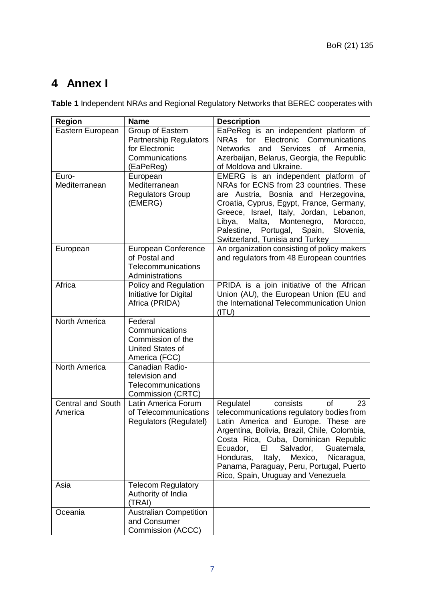## <span id="page-7-0"></span>**4 Annex I**

**Table 1** Independent NRAs and Regional Regulatory Networks that BEREC cooperates with

| <b>Region</b>                | <b>Name</b>                                                                                        | <b>Description</b>                                                                                                                                                                                                                                                                                                                                                                                  |
|------------------------------|----------------------------------------------------------------------------------------------------|-----------------------------------------------------------------------------------------------------------------------------------------------------------------------------------------------------------------------------------------------------------------------------------------------------------------------------------------------------------------------------------------------------|
| Eastern European<br>Euro-    | Group of Eastern<br><b>Partnership Regulators</b><br>for Electronic<br>Communications<br>(EaPeReg) | EaPeReg is an independent platform of<br>NRAs for<br>Electronic Communications<br>of Armenia,<br><b>Networks</b><br>Services<br>and<br>Azerbaijan, Belarus, Georgia, the Republic<br>of Moldova and Ukraine.                                                                                                                                                                                        |
| Mediterranean                | European<br>Mediterranean<br><b>Regulators Group</b><br>(EMERG)                                    | EMERG is an independent platform of<br>NRAs for ECNS from 23 countries. These<br>are Austria, Bosnia and Herzegovina,<br>Croatia, Cyprus, Egypt, France, Germany,<br>Greece, Israel, Italy, Jordan, Lebanon,<br>Malta,<br>Montenegro,<br>Libya,<br>Morocco,<br>Palestine, Portugal,<br>Spain,<br>Slovenia,<br>Switzerland, Tunisia and Turkey                                                       |
| European                     | European Conference<br>of Postal and<br>Telecommunications<br>Administrations                      | An organization consisting of policy makers<br>and regulators from 48 European countries                                                                                                                                                                                                                                                                                                            |
| Africa                       | Policy and Regulation<br>Initiative for Digital<br>Africa (PRIDA)                                  | PRIDA is a join initiative of the African<br>Union (AU), the European Union (EU and<br>the International Telecommunication Union<br>(ITU)                                                                                                                                                                                                                                                           |
| <b>North America</b>         | Federal<br>Communications<br>Commission of the<br>United States of<br>America (FCC)                |                                                                                                                                                                                                                                                                                                                                                                                                     |
| North America                | Canadian Radio-<br>television and<br>Telecommunications<br>Commission (CRTC)                       |                                                                                                                                                                                                                                                                                                                                                                                                     |
| Central and South<br>America | Latin America Forum<br>of Telecommunications<br>Regulators (Regulatel)                             | consists<br><b>of</b><br>Regulatel<br>23<br>telecommunications regulatory bodies from<br>Latin America and Europe. These are<br>Argentina, Bolivia, Brazil, Chile, Colombia,<br>Costa Rica, Cuba, Dominican Republic<br>Salvador,<br>Ecuador,<br>ΕI<br>Guatemala,<br>Honduras,<br>Italy,<br>Mexico,<br>Nicaragua,<br>Panama, Paraguay, Peru, Portugal, Puerto<br>Rico, Spain, Uruguay and Venezuela |
| Asia                         | <b>Telecom Regulatory</b><br>Authority of India<br>(TRAI)                                          |                                                                                                                                                                                                                                                                                                                                                                                                     |
| Oceania                      | <b>Australian Competition</b><br>and Consumer<br>Commission (ACCC)                                 |                                                                                                                                                                                                                                                                                                                                                                                                     |